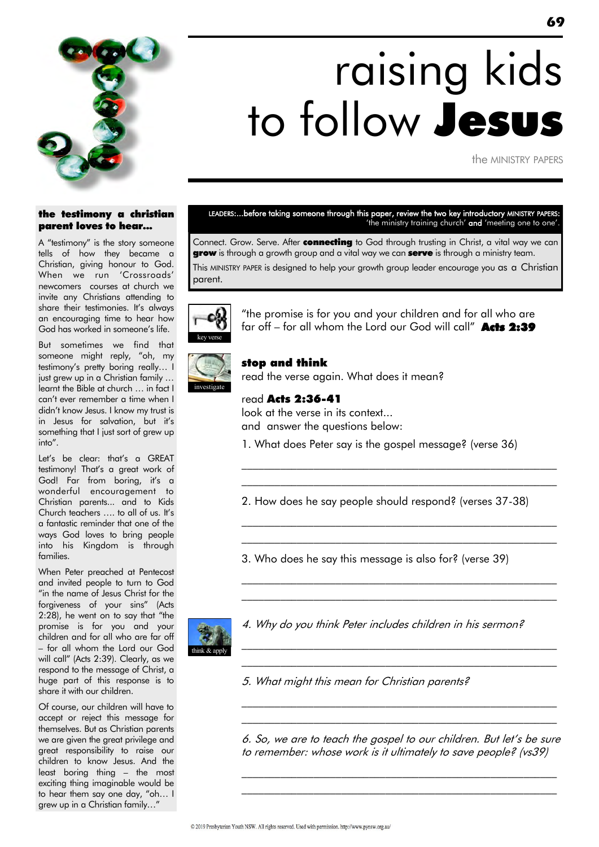

# raising kids to follow Jesus

the MINISTRY PAPERS

### the testimony a christian parent loves to hear...

A "testimony" is the story someone tells of how they became a Christian, giving honour to God. When we run 'Crossroads' newcomers courses at church we invite any Christians attending to share their testimonies. It's always an encouraging time to hear how God has worked in someone's life.

But sometimes we find that someone might reply, "oh, my testimony's pretty boring really… I just grew up in a Christian family … learnt the Bible at church … in fact I can't ever remember a time when I didn't know Jesus. I know my trust is in Jesus for salvation, but it's something that I just sort of grew up into".

Let's be clear: that's a GREAT testimony! That's a great work of God! Far from boring, it's a wonderful encouragement to Christian parents... and to Kids Church teachers …. to all of us. It's a fantastic reminder that one of the ways God loves to bring people into his Kingdom is through families.

When Peter preached at Pentecost and invited people to turn to God "in the name of Jesus Christ for the forgiveness of your sins" (Acts  $2:28$ ), he went on to say that "the promise is for you and your children and for all who are far off – for all whom the Lord our God will call" (Acts 2:39). Clearly, as we respond to the message of Christ, a huge part of this response is to share it with our children.

Of course, our children will have to accept or reject this message for themselves. But as Christian parents we are given the great privilege and great responsibility to raise our children to know Jesus. And the least boring thing – the most exciting thing imaginable would be to hear them say one day, "oh... I grew up in a Christian family..."

LEADERS:...before taking someone through this paper, review the two key introductory MINISTRY PAPERS: 'the ministry training church' and 'meeting one to one'.

Connect. Grow. Serve. After connecting to God through trusting in Christ, a vital way we can **grow** is through a growth group and a vital way we can **serve** is through a ministry team. This MINISTRY PAPER is designed to help your growth group leader encourage you as a Christian parent.



"the promise is for you and your children and for all who are far off – for all whom the Lord our God will call"  $Acts$  2:39



stop and think read the verse again. What does it mean?

### read Acts 2:36-41 look at the verse in its context...

and answer the questions below:

1. What does Peter say is the gospel message? (verse 36)

2. How does he say people should respond? (verses 37-38)

\_\_\_\_\_\_\_\_\_\_\_\_\_\_\_\_\_\_\_\_\_\_\_\_\_\_\_\_\_\_\_\_\_\_\_\_\_\_\_\_\_\_\_\_\_\_\_\_\_\_\_\_\_\_\_\_\_

 $\mathcal{L}_\text{max}$  and the contract of the contract of the contract of the contract of the contract of the contract of \_\_\_\_\_\_\_\_\_\_\_\_\_\_\_\_\_\_\_\_\_\_\_\_\_\_\_\_\_\_\_\_\_\_\_\_\_\_\_\_\_\_\_\_\_\_\_\_\_\_\_\_\_\_\_\_\_

 $\mathcal{L}_\text{max}$  and the contract of the contract of the contract of the contract of the contract of the contract of  $\mathcal{L}_\text{max}$  and the contract of the contract of the contract of the contract of the contract of the contract of

\_\_\_\_\_\_\_\_\_\_\_\_\_\_\_\_\_\_\_\_\_\_\_\_\_\_\_\_\_\_\_\_\_\_\_\_\_\_\_\_\_\_\_\_\_\_\_\_\_\_\_\_\_\_\_\_\_ \_\_\_\_\_\_\_\_\_\_\_\_\_\_\_\_\_\_\_\_\_\_\_\_\_\_\_\_\_\_\_\_\_\_\_\_\_\_\_\_\_\_\_\_\_\_\_\_\_\_\_\_\_\_\_\_\_

\_\_\_\_\_\_\_\_\_\_\_\_\_\_\_\_\_\_\_\_\_\_\_\_\_\_\_\_\_\_\_\_\_\_\_\_\_\_\_\_\_\_\_\_\_\_\_\_\_\_\_\_\_\_\_\_\_

3. Who does he say this message is also for? (verse 39)



4. Why do you think Peter includes children in his sermon?

5. What might this mean for Christian parents?

6. So, we are to teach the gospel to our children. But let's be sure to remember: whose work is it ultimately to save people? (vs39)

\_\_\_\_\_\_\_\_\_\_\_\_\_\_\_\_\_\_\_\_\_\_\_\_\_\_\_\_\_\_\_\_\_\_\_\_\_\_\_\_\_\_\_\_\_\_\_\_\_\_\_\_\_\_\_\_\_  $\mathcal{L}_\text{max}$  and the contract of the contract of the contract of the contract of the contract of the contract of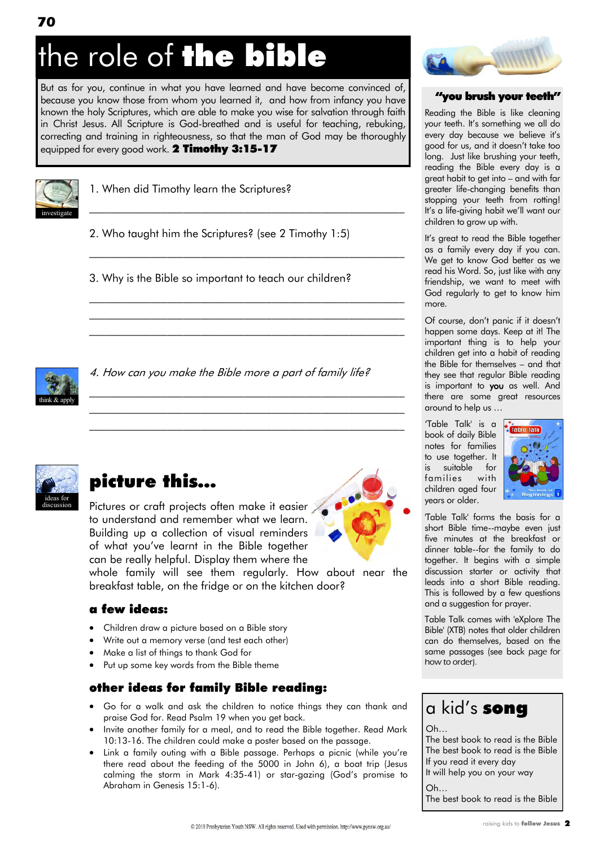## the role of the bible

But as for you, continue in what you have learned and have become convinced of, because you know those from whom you learned it, and how from infancy you have known the holy Scriptures, which are able to make you wise for salvation through faith in Christ Jesus. All Scripture is God-breathed and is useful for teaching, rebuking, correcting and training in righteousness, so that the man of God may be thoroughly equipped for every good work. 2 Timothy 3:15-17



1. When did Timothy learn the Scriptures?

2. Who taught him the Scriptures? (see 2 Timothy 1:5)

 $\mathcal{L}_\text{max}$  and the contract of the contract of the contract of the contract of the contract of the contract of

\_\_\_\_\_\_\_\_\_\_\_\_\_\_\_\_\_\_\_\_\_\_\_\_\_\_\_\_\_\_\_\_\_\_\_\_\_\_\_\_\_\_\_\_\_\_\_\_\_\_\_\_\_\_\_\_\_

 $\mathcal{L}_\text{max}$  and the contract of the contract of the contract of the contract of the contract of the contract of  $\mathcal{L}_\text{max}$  and the contract of the contract of the contract of the contract of the contract of the contract of  $\mathcal{L}_\text{max}$  and the contract of the contract of the contract of the contract of the contract of the contract of

 $\mathcal{L}_\text{max}$  and the contract of the contract of the contract of the contract of the contract of the contract of  $\mathcal{L}_\text{max}$  and the contract of the contract of the contract of the contract of the contract of the contract of \_\_\_\_\_\_\_\_\_\_\_\_\_\_\_\_\_\_\_\_\_\_\_\_\_\_\_\_\_\_\_\_\_\_\_\_\_\_\_\_\_\_\_\_\_\_\_\_\_\_\_\_\_\_\_\_\_

3. Why is the Bible so important to teach our children?



4. How can you make the Bible more a part of family life?



## picture this...

Pictures or craft projects often make it easier to understand and remember what we learn. Building up a collection of visual reminders of what you've learnt in the Bible together can be really helpful. Display them where the



whole family will see them regularly. How about near the breakfast table, on the fridge or on the kitchen door?

## a few ideas:

- Children draw a picture based on a Bible story
- Write out a memory verse (and test each other)
- Make a list of things to thank God for
- Put up some key words from the Bible theme

## other ideas for family Bible reading:

- Go for a walk and ask the children to notice things they can thank and praise God for. Read Psalm 19 when you get back.
- Invite another family for a meal, and to read the Bible together. Read Mark 10:13-16. The children could make a poster based on the passage.
- Link a family outing with a Bible passage. Perhaps a picnic (while you're there read about the feeding of the 5000 in John 6), a boat trip (Jesus calming the storm in Mark 4:35-41) or star-gazing (God's promise to Abraham in Genesis 15:1-6).



## "you brush your teeth"

Reading the Bible is like cleaning your teeth. It's something we all do every day because we believe it's good for us, and it doesn't take too long. Just like brushing your teeth, reading the Bible every day is a great habit to get into – and with far greater life-changing benefits than stopping your teeth from rotting! It's a life-giving habit we'll want our children to grow up with.

It's great to read the Bible together as a family every day if you can. We get to know God better as we read his Word. So, just like with any friendship, we want to meet with God regularly to get to know him more.

Of course, don't panic if it doesn't happen some days. Keep at it! The important thing is to help your children get into a habit of reading the Bible for themselves – and that they see that regular Bible reading is important to you as well. And there are some great resources around to help us …

‗Table Talk' is a book of daily Bible notes for families to use together. It is suitable for families with children aged four years or older.



'Table Talk' forms the basis for a short Bible time--maybe even just five minutes at the breakfast or dinner table--for the family to do together. It begins with a simple discussion starter or activity that leads into a short Bible reading. This is followed by a few questions and a suggestion for prayer.

Table Talk comes with 'eXplore The Bible' (XTB) notes that older children can do themselves, based on the same passages (see back page for how to order).

## a kid's song

#### Oh…

The best book to read is the Bible The best book to read is the Bible If you read it every day It will help you on your way

Oh… The best book to read is the Bible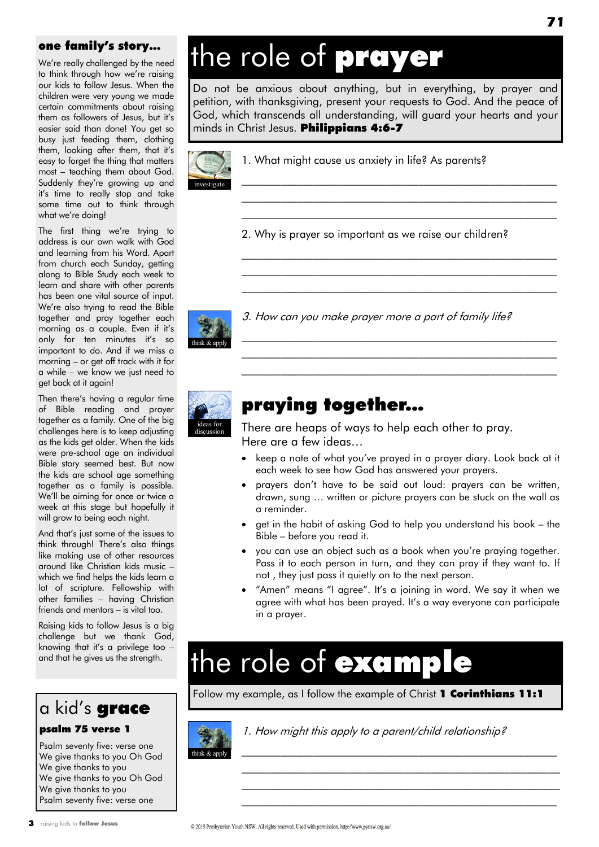## one family's story…

We're really challenged by the need to think through how we're raising our kids to follow Jesus. When the children were very young we made certain commitments about raising them as followers of Jesus, but it's easier said than done! You get so busy just feeding them, clothing them, looking after them, that it's easy to forget the thing that matters most – teaching them about God. Suddenly they're growing up and it's time to really stop and take some time out to think through what we're doing!

The first thing we're trying to address is our own walk with God and learning from his Word. Apart from church each Sunday, getting along to Bible Study each week to learn and share with other parents has been one vital source of input. We're also trying to read the Bible together and pray together each morning as a couple. Even if it's only for ten minutes it's so important to do. And if we miss a morning – or get off track with it for a while – we know we just need to get back at it again!

Then there's having a regular time of Bible reading and prayer together as a family. One of the big challenges here is to keep adjusting as the kids get older. When the kids were pre-school age an individual Bible story seemed best. But now the kids are school age something together as a family is possible. We'll be aiming for once or twice a week at this stage but hopefully it will grow to being each night.

And that's just some of the issues to think through! There's also things like making use of other resources around like Christian kids music – which we find helps the kids learn a lot of scripture. Fellowship with other families – having Christian friends and mentors – is vital too.

Raising kids to follow Jesus is a big challenge but we thank God, knowing that it's a privilege too – and that he gives us the strength.



psalm 75 verse 1

Psalm seventy five: verse one We give thanks to you Oh God We give thanks to you We give thanks to you Oh God We give thanks to you Psalm seventy five: verse one

## the role of **prayer**

Do not be anxious about anything, but in everything, by prayer and petition, with thanksgiving, present your requests to God. And the peace of God, which transcends all understanding, will guard your hearts and your minds in Christ Jesus. Philippians 4:6-7



1. What might cause us anxiety in life? As parents?

2. Why is prayer so important as we raise our children?

\_\_\_\_\_\_\_\_\_\_\_\_\_\_\_\_\_\_\_\_\_\_\_\_\_\_\_\_\_\_\_\_\_\_\_\_\_\_\_\_\_\_\_\_\_\_\_\_\_\_\_\_\_\_\_\_\_  $\mathcal{L}_\text{max}$  and the contract of the contract of the contract of the contract of the contract of the contract of \_\_\_\_\_\_\_\_\_\_\_\_\_\_\_\_\_\_\_\_\_\_\_\_\_\_\_\_\_\_\_\_\_\_\_\_\_\_\_\_\_\_\_\_\_\_\_\_\_\_\_\_\_\_\_\_\_

\_\_\_\_\_\_\_\_\_\_\_\_\_\_\_\_\_\_\_\_\_\_\_\_\_\_\_\_\_\_\_\_\_\_\_\_\_\_\_\_\_\_\_\_\_\_\_\_\_\_\_\_\_\_\_\_\_ \_\_\_\_\_\_\_\_\_\_\_\_\_\_\_\_\_\_\_\_\_\_\_\_\_\_\_\_\_\_\_\_\_\_\_\_\_\_\_\_\_\_\_\_\_\_\_\_\_\_\_\_\_\_\_\_\_ \_\_\_\_\_\_\_\_\_\_\_\_\_\_\_\_\_\_\_\_\_\_\_\_\_\_\_\_\_\_\_\_\_\_\_\_\_\_\_\_\_\_\_\_\_\_\_\_\_\_\_\_\_\_\_\_\_

 $\mathcal{L}_\text{max}$  and the contract of the contract of the contract of the contract of the contract of the contract of  $\mathcal{L}_\text{max}$  and the contract of the contract of the contract of the contract of the contract of the contract of  $\mathcal{L}_\text{max}$  and the contract of the contract of the contract of the contract of the contract of the contract of



3. How can you make prayer more a part of family life?



## praying together...

There are heaps of ways to help each other to pray. Here are a few ideas…

- keep a note of what you've prayed in a prayer diary. Look back at it each week to see how God has answered your prayers.
- prayers don't have to be said out loud: prayers can be written, drawn, sung … written or picture prayers can be stuck on the wall as a reminder.
- get in the habit of asking God to help you understand his book the Bible – before you read it.
- you can use an object such as a book when you're praying together. Pass it to each person in turn, and they can pray if they want to. If not , they just pass it quietly on to the next person.
- "Amen" means "I agree". It's a joining in word. We say it when we agree with what has been prayed. It's a way everyone can participate in a prayer.

\_\_\_\_\_\_\_\_\_\_\_\_\_\_\_\_\_\_\_\_\_\_\_\_\_\_\_\_\_\_\_\_\_\_\_\_\_\_\_\_\_\_\_\_\_\_\_\_\_\_\_\_\_\_\_\_\_ \_\_\_\_\_\_\_\_\_\_\_\_\_\_\_\_\_\_\_\_\_\_\_\_\_\_\_\_\_\_\_\_\_\_\_\_\_\_\_\_\_\_\_\_\_\_\_\_\_\_\_\_\_\_\_\_\_ \_\_\_\_\_\_\_\_\_\_\_\_\_\_\_\_\_\_\_\_\_\_\_\_\_\_\_\_\_\_\_\_\_\_\_\_\_\_\_\_\_\_\_\_\_\_\_\_\_\_\_\_\_\_\_\_\_  $\mathcal{L}_\text{max}$  and the contract of the contract of the contract of the contract of the contract of the contract of

## the role of **example**

Follow my example, as I follow the example of Christ 1 Corinthians 11:1



1. How might this apply to a parent/child relationship?